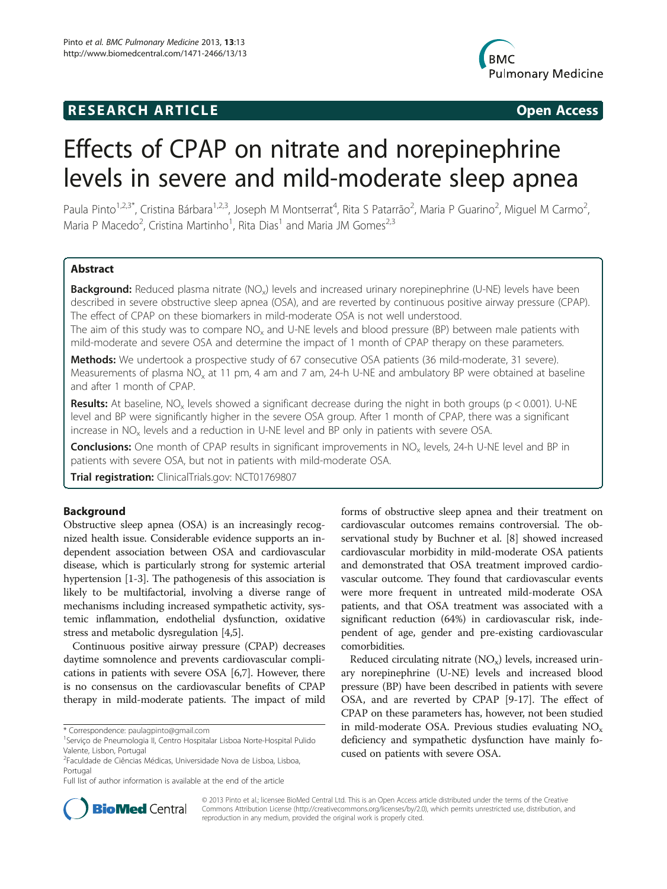# **RESEARCH ARTICLE Example 2018 12:00 Open Access**



# Effects of CPAP on nitrate and norepinephrine levels in severe and mild-moderate sleep apnea

Paula Pinto<sup>1,2,3\*</sup>, Cristina Bárbara<sup>1,2,3</sup>, Joseph M Montserrat<sup>4</sup>, Rita S Patarrão<sup>2</sup>, Maria P Guarino<sup>2</sup>, Miguel M Carmo<sup>2</sup> , Maria P Macedo<sup>2</sup>, Cristina Martinho<sup>1</sup>, Rita Dias<sup>1</sup> and Maria JM Gomes<sup>2,3</sup>

# Abstract

Background: Reduced plasma nitrate (NO<sub>x</sub>) levels and increased urinary norepinephrine (U-NE) levels have been described in severe obstructive sleep apnea (OSA), and are reverted by continuous positive airway pressure (CPAP). The effect of CPAP on these biomarkers in mild-moderate OSA is not well understood.

The aim of this study was to compare  $NO<sub>x</sub>$  and U-NE levels and blood pressure (BP) between male patients with mild-moderate and severe OSA and determine the impact of 1 month of CPAP therapy on these parameters.

Methods: We undertook a prospective study of 67 consecutive OSA patients (36 mild-moderate, 31 severe). Measurements of plasma NO<sub>x</sub> at 11 pm, 4 am and 7 am, 24-h U-NE and ambulatory BP were obtained at baseline and after 1 month of CPAP.

Results: At baseline,  $NO_x$  levels showed a significant decrease during the night in both groups (p < 0.001). U-NE level and BP were significantly higher in the severe OSA group. After 1 month of CPAP, there was a significant increase in NO<sub>x</sub> levels and a reduction in U-NE level and BP only in patients with severe OSA.

Conclusions: One month of CPAP results in significant improvements in NO<sub>x</sub> levels, 24-h U-NE level and BP in patients with severe OSA, but not in patients with mild-moderate OSA.

Trial registration: ClinicalTrials.gov: [NCT01769807](http://www.clinicaltrials.gov/NCT01769807)

# Background

Obstructive sleep apnea (OSA) is an increasingly recognized health issue. Considerable evidence supports an independent association between OSA and cardiovascular disease, which is particularly strong for systemic arterial hypertension [[1](#page-5-0)-[3\]](#page-5-0). The pathogenesis of this association is likely to be multifactorial, involving a diverse range of mechanisms including increased sympathetic activity, systemic inflammation, endothelial dysfunction, oxidative stress and metabolic dysregulation [[4,5](#page-6-0)].

Continuous positive airway pressure (CPAP) decreases daytime somnolence and prevents cardiovascular complications in patients with severe OSA [\[6,7\]](#page-6-0). However, there is no consensus on the cardiovascular benefits of CPAP therapy in mild-moderate patients. The impact of mild

\* Correspondence: [paulagpinto@gmail.com](mailto:paulagpinto@gmail.com) <sup>1</sup>

2 Faculdade de Ciências Médicas, Universidade Nova de Lisboa, Lisboa, Portugal

Full list of author information is available at the end of the article

forms of obstructive sleep apnea and their treatment on cardiovascular outcomes remains controversial. The observational study by Buchner et al. [\[8](#page-6-0)] showed increased cardiovascular morbidity in mild-moderate OSA patients and demonstrated that OSA treatment improved cardiovascular outcome. They found that cardiovascular events were more frequent in untreated mild-moderate OSA patients, and that OSA treatment was associated with a significant reduction (64%) in cardiovascular risk, independent of age, gender and pre-existing cardiovascular comorbidities.

Reduced circulating nitrate  $(NO_x)$  levels, increased urinary norepinephrine (U-NE) levels and increased blood pressure (BP) have been described in patients with severe OSA, and are reverted by CPAP [\[9](#page-6-0)-[17](#page-6-0)]. The effect of CPAP on these parameters has, however, not been studied in mild-moderate OSA. Previous studies evaluating  $NO<sub>x</sub>$ deficiency and sympathetic dysfunction have mainly focused on patients with severe OSA.



© 2013 Pinto et al.; licensee BioMed Central Ltd. This is an Open Access article distributed under the terms of the Creative Commons Attribution License [\(http://creativecommons.org/licenses/by/2.0\)](http://creativecommons.org/licenses/by/2.0), which permits unrestricted use, distribution, and reproduction in any medium, provided the original work is properly cited.

Serviço de Pneumologia II, Centro Hospitalar Lisboa Norte-Hospital Pulido Valente, Lisbon, Portugal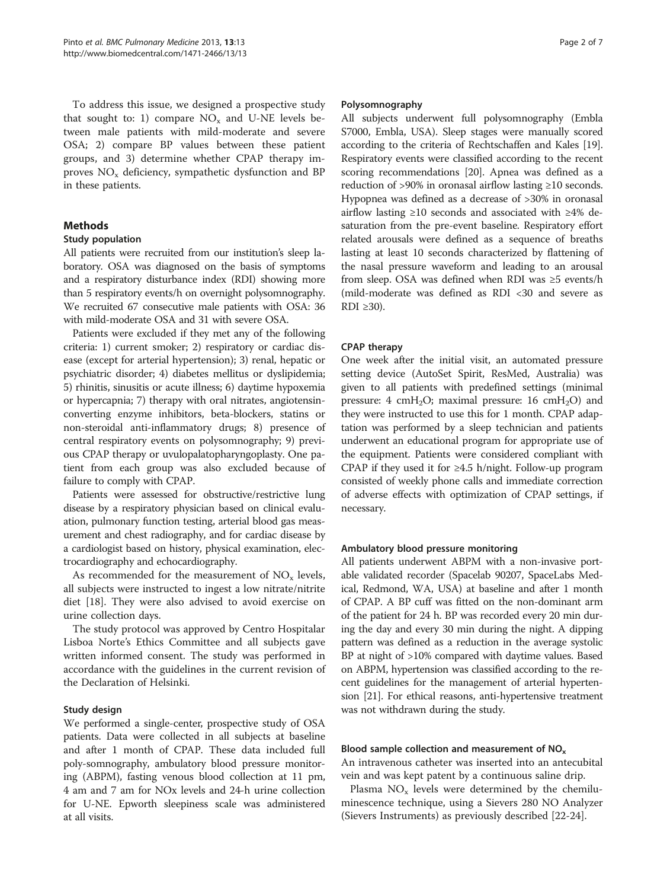To address this issue, we designed a prospective study that sought to: 1) compare  $NO<sub>x</sub>$  and U-NE levels between male patients with mild-moderate and severe OSA; 2) compare BP values between these patient groups, and 3) determine whether CPAP therapy improves  $NO<sub>x</sub>$  deficiency, sympathetic dysfunction and BP in these patients.

# **Methods**

# Study population

All patients were recruited from our institution's sleep laboratory. OSA was diagnosed on the basis of symptoms and a respiratory disturbance index (RDI) showing more than 5 respiratory events/h on overnight polysomnography. We recruited 67 consecutive male patients with OSA: 36 with mild-moderate OSA and 31 with severe OSA.

Patients were excluded if they met any of the following criteria: 1) current smoker; 2) respiratory or cardiac disease (except for arterial hypertension); 3) renal, hepatic or psychiatric disorder; 4) diabetes mellitus or dyslipidemia; 5) rhinitis, sinusitis or acute illness; 6) daytime hypoxemia or hypercapnia; 7) therapy with oral nitrates, angiotensinconverting enzyme inhibitors, beta-blockers, statins or non-steroidal anti-inflammatory drugs; 8) presence of central respiratory events on polysomnography; 9) previous CPAP therapy or uvulopalatopharyngoplasty. One patient from each group was also excluded because of failure to comply with CPAP.

Patients were assessed for obstructive/restrictive lung disease by a respiratory physician based on clinical evaluation, pulmonary function testing, arterial blood gas measurement and chest radiography, and for cardiac disease by a cardiologist based on history, physical examination, electrocardiography and echocardiography.

As recommended for the measurement of  $NO<sub>x</sub>$  levels, all subjects were instructed to ingest a low nitrate/nitrite diet [[18\]](#page-6-0). They were also advised to avoid exercise on urine collection days.

The study protocol was approved by Centro Hospitalar Lisboa Norte's Ethics Committee and all subjects gave written informed consent. The study was performed in accordance with the guidelines in the current revision of the Declaration of Helsinki.

# Study design

We performed a single-center, prospective study of OSA patients. Data were collected in all subjects at baseline and after 1 month of CPAP. These data included full poly-somnography, ambulatory blood pressure monitoring (ABPM), fasting venous blood collection at 11 pm, 4 am and 7 am for NOx levels and 24-h urine collection for U-NE. Epworth sleepiness scale was administered at all visits.

### Polysomnography

All subjects underwent full polysomnography (Embla S7000, Embla, USA). Sleep stages were manually scored according to the criteria of Rechtschaffen and Kales [[19](#page-6-0)]. Respiratory events were classified according to the recent scoring recommendations [\[20\]](#page-6-0). Apnea was defined as a reduction of >90% in oronasal airflow lasting ≥10 seconds. Hypopnea was defined as a decrease of >30% in oronasal airflow lasting ≥10 seconds and associated with ≥4% desaturation from the pre-event baseline. Respiratory effort related arousals were defined as a sequence of breaths lasting at least 10 seconds characterized by flattening of the nasal pressure waveform and leading to an arousal from sleep. OSA was defined when RDI was ≥5 events/h (mild-moderate was defined as RDI <30 and severe as RDI ≥30).

# CPAP therapy

One week after the initial visit, an automated pressure setting device (AutoSet Spirit, ResMed, Australia) was given to all patients with predefined settings (minimal pressure: 4 cmH<sub>2</sub>O; maximal pressure: 16 cmH<sub>2</sub>O) and they were instructed to use this for 1 month. CPAP adaptation was performed by a sleep technician and patients underwent an educational program for appropriate use of the equipment. Patients were considered compliant with CPAP if they used it for  $\geq 4.5$  h/night. Follow-up program consisted of weekly phone calls and immediate correction of adverse effects with optimization of CPAP settings, if necessary.

# Ambulatory blood pressure monitoring

All patients underwent ABPM with a non-invasive portable validated recorder (Spacelab 90207, SpaceLabs Medical, Redmond, WA, USA) at baseline and after 1 month of CPAP. A BP cuff was fitted on the non-dominant arm of the patient for 24 h. BP was recorded every 20 min during the day and every 30 min during the night. A dipping pattern was defined as a reduction in the average systolic BP at night of >10% compared with daytime values. Based on ABPM, hypertension was classified according to the recent guidelines for the management of arterial hypertension [[21](#page-6-0)]. For ethical reasons, anti-hypertensive treatment was not withdrawn during the study.

# Blood sample collection and measurement of  $NO<sub>x</sub>$

An intravenous catheter was inserted into an antecubital vein and was kept patent by a continuous saline drip.

Plasma  $NO<sub>x</sub>$  levels were determined by the chemiluminescence technique, using a Sievers 280 NO Analyzer (Sievers Instruments) as previously described [[22-24\]](#page-6-0).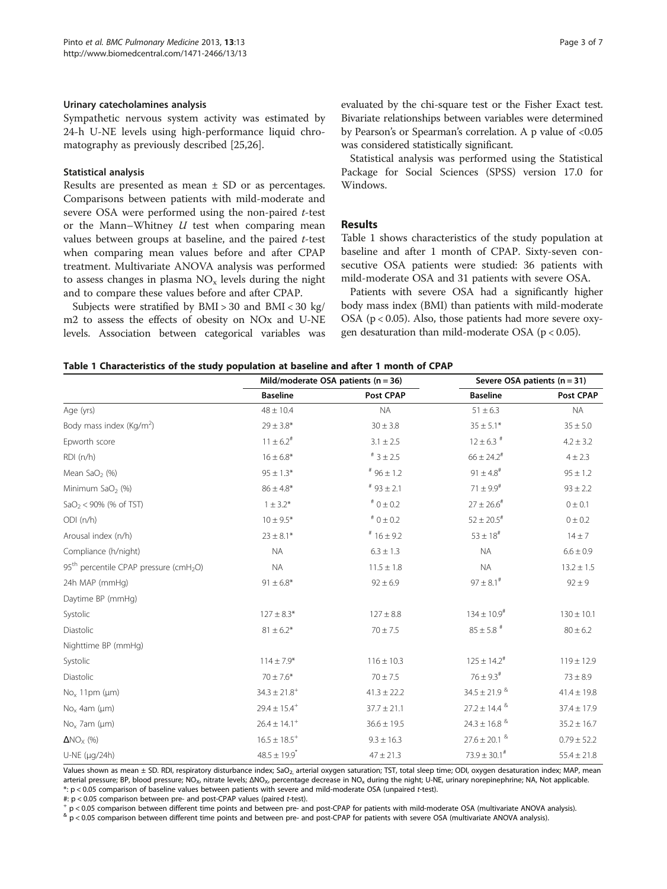#### <span id="page-2-0"></span>Urinary catecholamines analysis

Sympathetic nervous system activity was estimated by 24-h U-NE levels using high-performance liquid chromatography as previously described [[25,26\]](#page-6-0).

#### Statistical analysis

Results are presented as mean  $\pm$  SD or as percentages. Comparisons between patients with mild-moderate and severe OSA were performed using the non-paired t-test or the Mann–Whitney  $U$  test when comparing mean values between groups at baseline, and the paired t-test when comparing mean values before and after CPAP treatment. Multivariate ANOVA analysis was performed to assess changes in plasma  $NO<sub>x</sub>$  levels during the night and to compare these values before and after CPAP.

Subjects were stratified by BMI > 30 and BMI < 30 kg/ m2 to assess the effects of obesity on NOx and U-NE levels. Association between categorical variables was evaluated by the chi-square test or the Fisher Exact test. Bivariate relationships between variables were determined by Pearson's or Spearman's correlation. A p value of <0.05 was considered statistically significant.

Statistical analysis was performed using the Statistical Package for Social Sciences (SPSS) version 17.0 for Windows.

# **Results**

Table 1 shows characteristics of the study population at baseline and after 1 month of CPAP. Sixty-seven consecutive OSA patients were studied: 36 patients with mild-moderate OSA and 31 patients with severe OSA.

Patients with severe OSA had a significantly higher body mass index (BMI) than patients with mild-moderate OSA ( $p < 0.05$ ). Also, those patients had more severe oxygen desaturation than mild-moderate OSA (p < 0.05).

#### Table 1 Characteristics of the study population at baseline and after 1 month of CPAP

|                                                      | Mild/moderate OSA patients ( $n = 36$ ) |                     | Severe OSA patients $(n = 31)$ |                 |
|------------------------------------------------------|-----------------------------------------|---------------------|--------------------------------|-----------------|
|                                                      | <b>Baseline</b>                         | Post CPAP           | <b>Baseline</b>                | Post CPAP       |
| Age (yrs)                                            | $48 \pm 10.4$                           | <b>NA</b>           | $51 \pm 6.3$                   | <b>NA</b>       |
| Body mass index (Kg/m <sup>2</sup> )                 | $29 \pm 3.8*$                           | $30 \pm 3.8$        | $35 \pm 5.1*$                  | $35 \pm 5.0$    |
| Epworth score                                        | $11 \pm 6.2^{\#}$                       | $3.1 \pm 2.5$       | $12 \pm 6.3$ #                 | $4.2 \pm 3.2$   |
| RDI(n/h)                                             | $16 \pm 6.8*$                           | $^{\#}$ 3 $\pm$ 2.5 | $66 \pm 24.2$ <sup>#</sup>     | $4 \pm 2.3$     |
| Mean SaO <sub>2</sub> (%)                            | $95 \pm 1.3*$                           | $*96 \pm 1.2$       | $91 \pm 4.8^{\text{*}}$        | $95 \pm 1.2$    |
| Minimum SaO <sub>2</sub> (%)                         | $86 \pm 4.8*$                           | $*$ 93 ± 2.1        | $71\pm9.9^{\rm \#}$            | $93 \pm 2.2$    |
| $SaO2 < 90\%$ (% of TST)                             | $1 \pm 3.2^*$                           | $^{\#}$ O $\pm$ 0.2 | $27 \pm 26.6^{\#}$             | $0 \pm 0.1$     |
| ODI (n/h)                                            | $10 \pm 9.5*$                           | $^{\#}$ 0 $\pm$ 0.2 | $52 \pm 20.5^{\text{*}}$       | 0 ± 0.2         |
| Arousal index (n/h)                                  | $23 \pm 8.1*$                           | $*16 \pm 9.2$       | $53 \pm 18^{#}$                | $14 \pm 7$      |
| Compliance (h/night)                                 | <b>NA</b>                               | $6.3 \pm 1.3$       | <b>NA</b>                      | $6.6 \pm 0.9$   |
| $95th$ percentile CPAP pressure (cmH <sub>2</sub> O) | <b>NA</b>                               | $11.5 \pm 1.8$      | <b>NA</b>                      | $13.2 \pm 1.5$  |
| 24h MAP (mmHg)                                       | $91 \pm 6.8*$                           | $92 \pm 6.9$        | $97\pm8.1^{\text{\#}}$         | $92 \pm 9$      |
| Daytime BP (mmHg)                                    |                                         |                     |                                |                 |
| Systolic                                             | $127 \pm 8.3*$                          | $127 \pm 8.8$       | $134 \pm 10.9^{\text{\#}}$     | $130 \pm 10.1$  |
| Diastolic                                            | $81 \pm 6.2*$                           | $70 \pm 7.5$        | $85\pm5.8$ $^{\#}$             | $80 \pm 6.2$    |
| Nighttime BP (mmHg)                                  |                                         |                     |                                |                 |
| Systolic                                             | $114 \pm 7.9*$                          | $116 \pm 10.3$      | $125 \pm 14.2^{\text{\#}}$     | $119 \pm 12.9$  |
| Diastolic                                            | $70 \pm 7.6*$                           | $70 \pm 7.5$        | $76 \pm 9.3^{\text{\#}}$       | $73 \pm 8.9$    |
| $No_x 11pm (µm)$                                     | $34.3 \pm 21.8^{+}$                     | $41.3 \pm 22.2$     | $34.5 \pm 21.9$ $^{8}$         | $41.4 \pm 19.8$ |
| $No_x$ 4am ( $\mu$ m)                                | $29.4 \pm 15.4^{+}$                     | $37.7 \pm 21.1$     | $27.2 \pm 14.4$ $^{8}$         | $37.4 \pm 17.9$ |
| $No_x$ 7am ( $\mu$ m)                                | $26.4 \pm 14.1$ <sup>+</sup>            | $36.6 \pm 19.5$     | $24.3\pm16.8$ $^{8}$           | $35.2 \pm 16.7$ |
| $\Delta NO_X$ (%)                                    | $16.5 \pm 18.5^{+}$                     | $9.3 \pm 16.3$      | $27.6 \pm 20.1$ &              | $0.79 \pm 52.2$ |
| U-NE (µg/24h)                                        | $48.5 \pm 19.9$ <sup>*</sup>            | $47 \pm 21.3$       | $73.9 \pm 30.1^{\#}$           | $55.4 \pm 21.8$ |

Values shown as mean ± SD. RDI, respiratory disturbance index; SaO<sub>2,</sub> arterial oxygen saturation; TST, total sleep time; ODI, oxygen desaturation index; MAP, mean arterial pressure; BP, blood pressure; NO<sub>x</sub>, nitrate levels; ΔNO<sub>x</sub>, percentage decrease in NO<sub>x</sub> during the night; U-NE, urinary norepinephrine; NA, Not applicable. \*: p < 0.05 comparison of baseline values between patients with severe and mild-moderate OSA (unpaired t-test).

#: p < 0.05 comparison between pre- and post-CPAP values (paired t-test).<br>+ p < 0.05 comparison between different time points and between pre- and post-CPAP for patients with mild-moderate OSA (multivariate ANOVA analysis)

 $\alpha$  p < 0.05 comparison between different time points and between pre- and post-CPAP for patients with severe OSA (multivariate ANOVA analysis).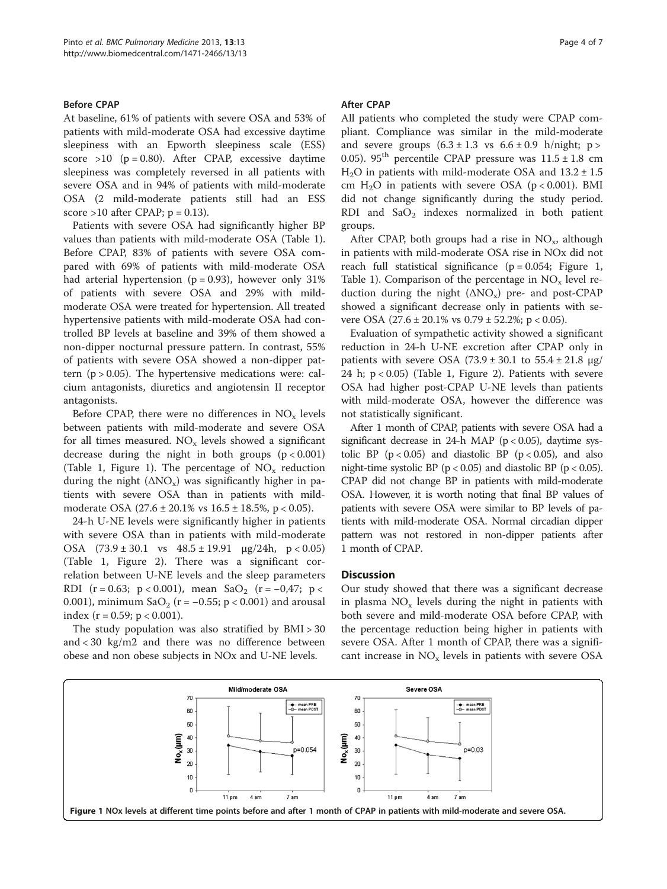# Before CPAP

At baseline, 61% of patients with severe OSA and 53% of patients with mild-moderate OSA had excessive daytime sleepiness with an Epworth sleepiness scale (ESS) score >10 ( $p = 0.80$ ). After CPAP, excessive daytime sleepiness was completely reversed in all patients with severe OSA and in 94% of patients with mild-moderate OSA (2 mild-moderate patients still had an ESS score >10 after CPAP;  $p = 0.13$ ).

Patients with severe OSA had significantly higher BP values than patients with mild-moderate OSA (Table [1](#page-2-0)). Before CPAP, 83% of patients with severe OSA compared with 69% of patients with mild-moderate OSA had arterial hypertension ( $p = 0.93$ ), however only 31% of patients with severe OSA and 29% with mildmoderate OSA were treated for hypertension. All treated hypertensive patients with mild-moderate OSA had controlled BP levels at baseline and 39% of them showed a non-dipper nocturnal pressure pattern. In contrast, 55% of patients with severe OSA showed a non-dipper pattern  $(p > 0.05)$ . The hypertensive medications were: calcium antagonists, diuretics and angiotensin II receptor antagonists.

Before CPAP, there were no differences in  $NO<sub>x</sub>$  levels between patients with mild-moderate and severe OSA for all times measured.  $NO<sub>x</sub>$  levels showed a significant decrease during the night in both groups  $(p < 0.001)$ (Table [1,](#page-2-0) Figure 1). The percentage of  $NO<sub>x</sub>$  reduction during the night  $( \Delta NO_x)$  was significantly higher in patients with severe OSA than in patients with mildmoderate OSA  $(27.6 \pm 20.1\% \text{ vs } 16.5 \pm 18.5\%, \text{ p} < 0.05)$ .

24-h U-NE levels were significantly higher in patients with severe OSA than in patients with mild-moderate OSA  $(73.9 \pm 30.1 \text{ vs } 48.5 \pm 19.91 \text{ µg}/24h, p < 0.05)$ (Table [1](#page-2-0), Figure [2](#page-4-0)). There was a significant correlation between U-NE levels and the sleep parameters RDI (r = 0.63; p < 0.001), mean  $SaO_2$  (r = -0,47; p < 0.001), minimum SaO<sub>2</sub> (r = -0.55; p < 0.001) and arousal index ( $r = 0.59$ ;  $p < 0.001$ ).

The study population was also stratified by  $BMI > 30$ and < 30 kg/m2 and there was no difference between obese and non obese subjects in NOx and U-NE levels.

#### After CPAP

All patients who completed the study were CPAP compliant. Compliance was similar in the mild-moderate and severe groups  $(6.3 \pm 1.3 \text{ vs } 6.6 \pm 0.9 \text{ h/night}; \text{ p}$ 0.05). 95<sup>th</sup> percentile CPAP pressure was  $11.5 \pm 1.8$  cm  $H<sub>2</sub>O$  in patients with mild-moderate OSA and  $13.2 \pm 1.5$ cm  $H_2O$  in patients with severe OSA ( $p < 0.001$ ). BMI did not change significantly during the study period. RDI and  $SaO<sub>2</sub>$  indexes normalized in both patient groups.

After CPAP, both groups had a rise in  $NO<sub>x</sub>$ , although in patients with mild-moderate OSA rise in NOx did not reach full statistical significance  $(p = 0.054;$  Figure 1, Table [1\)](#page-2-0). Comparison of the percentage in  $NO<sub>x</sub>$  level reduction during the night  $(ANO_x)$  pre- and post-CPAP showed a significant decrease only in patients with severe OSA  $(27.6 \pm 20.1\% \text{ vs } 0.79 \pm 52.2\% \text{; } p < 0.05)$ .

Evaluation of sympathetic activity showed a significant reduction in 24-h U-NE excretion after CPAP only in patients with severe OSA  $(73.9 \pm 30.1 \text{ to } 55.4 \pm 21.8 \text{ µg})$ 24 h;  $p < 0.05$ ) (Table [1,](#page-2-0) Figure [2\)](#page-4-0). Patients with severe OSA had higher post-CPAP U-NE levels than patients with mild-moderate OSA, however the difference was not statistically significant.

After 1 month of CPAP, patients with severe OSA had a significant decrease in 24-h MAP ( $p < 0.05$ ), daytime systolic BP  $(p < 0.05)$  and diastolic BP  $(p < 0.05)$ , and also night-time systolic BP ( $p < 0.05$ ) and diastolic BP ( $p < 0.05$ ). CPAP did not change BP in patients with mild-moderate OSA. However, it is worth noting that final BP values of patients with severe OSA were similar to BP levels of patients with mild-moderate OSA. Normal circadian dipper pattern was not restored in non-dipper patients after 1 month of CPAP.

# **Discussion**

Our study showed that there was a significant decrease in plasma  $NO<sub>x</sub>$  levels during the night in patients with both severe and mild-moderate OSA before CPAP, with the percentage reduction being higher in patients with severe OSA. After 1 month of CPAP, there was a significant increase in  $NO<sub>x</sub>$  levels in patients with severe OSA

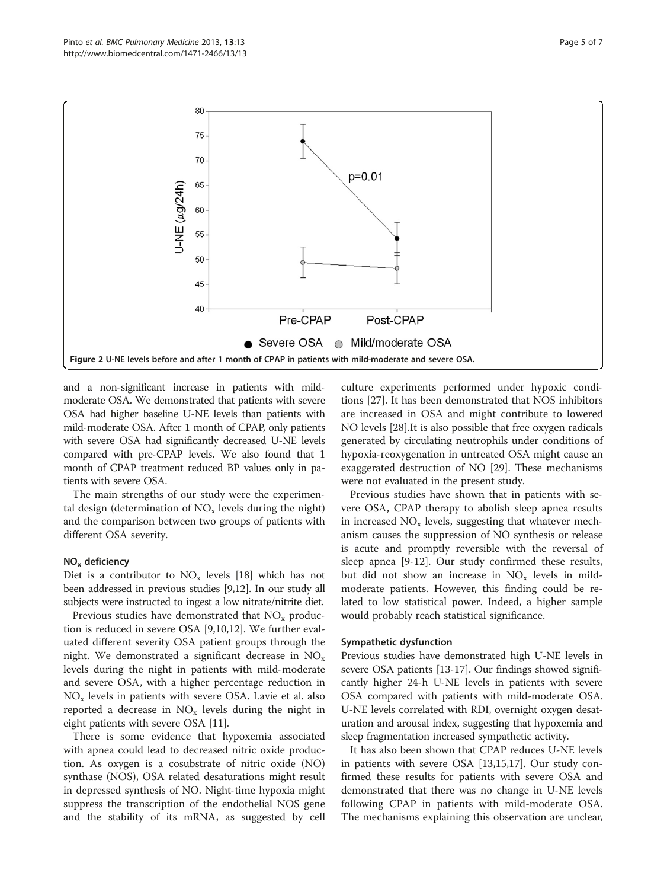<span id="page-4-0"></span>

and a non-significant increase in patients with mildmoderate OSA. We demonstrated that patients with severe OSA had higher baseline U-NE levels than patients with mild-moderate OSA. After 1 month of CPAP, only patients with severe OSA had significantly decreased U-NE levels compared with pre-CPAP levels. We also found that 1 month of CPAP treatment reduced BP values only in patients with severe OSA.

The main strengths of our study were the experimental design (determination of  $NO<sub>x</sub>$  levels during the night) and the comparison between two groups of patients with different OSA severity.

#### $NO<sub>x</sub>$  deficiency

Diet is a contributor to  $NO<sub>x</sub>$  levels [\[18\]](#page-6-0) which has not been addressed in previous studies [\[9,12](#page-6-0)]. In our study all subjects were instructed to ingest a low nitrate/nitrite diet.

Previous studies have demonstrated that  $NO<sub>x</sub>$  production is reduced in severe OSA [\[9,10,12](#page-6-0)]. We further evaluated different severity OSA patient groups through the night. We demonstrated a significant decrease in  $NO_x$ levels during the night in patients with mild-moderate and severe OSA, with a higher percentage reduction in  $NO<sub>x</sub>$  levels in patients with severe OSA. Lavie et al. also reported a decrease in  $NO_x$  levels during the night in eight patients with severe OSA [[11\]](#page-6-0).

There is some evidence that hypoxemia associated with apnea could lead to decreased nitric oxide production. As oxygen is a cosubstrate of nitric oxide (NO) synthase (NOS), OSA related desaturations might result in depressed synthesis of NO. Night-time hypoxia might suppress the transcription of the endothelial NOS gene and the stability of its mRNA, as suggested by cell

culture experiments performed under hypoxic conditions [\[27\]](#page-6-0). It has been demonstrated that NOS inhibitors are increased in OSA and might contribute to lowered NO levels [\[28\]](#page-6-0).It is also possible that free oxygen radicals generated by circulating neutrophils under conditions of hypoxia-reoxygenation in untreated OSA might cause an exaggerated destruction of NO [[29\]](#page-6-0). These mechanisms were not evaluated in the present study.

Previous studies have shown that in patients with severe OSA, CPAP therapy to abolish sleep apnea results in increased  $NO<sub>x</sub>$  levels, suggesting that whatever mechanism causes the suppression of NO synthesis or release is acute and promptly reversible with the reversal of sleep apnea [\[9](#page-6-0)-[12\]](#page-6-0). Our study confirmed these results, but did not show an increase in  $NO<sub>x</sub>$  levels in mildmoderate patients. However, this finding could be related to low statistical power. Indeed, a higher sample would probably reach statistical significance.

#### Sympathetic dysfunction

Previous studies have demonstrated high U-NE levels in severe OSA patients [[13](#page-6-0)-[17](#page-6-0)]. Our findings showed significantly higher 24-h U-NE levels in patients with severe OSA compared with patients with mild-moderate OSA. U-NE levels correlated with RDI, overnight oxygen desaturation and arousal index, suggesting that hypoxemia and sleep fragmentation increased sympathetic activity.

It has also been shown that CPAP reduces U-NE levels in patients with severe OSA [[13](#page-6-0),[15](#page-6-0),[17](#page-6-0)]. Our study confirmed these results for patients with severe OSA and demonstrated that there was no change in U-NE levels following CPAP in patients with mild-moderate OSA. The mechanisms explaining this observation are unclear,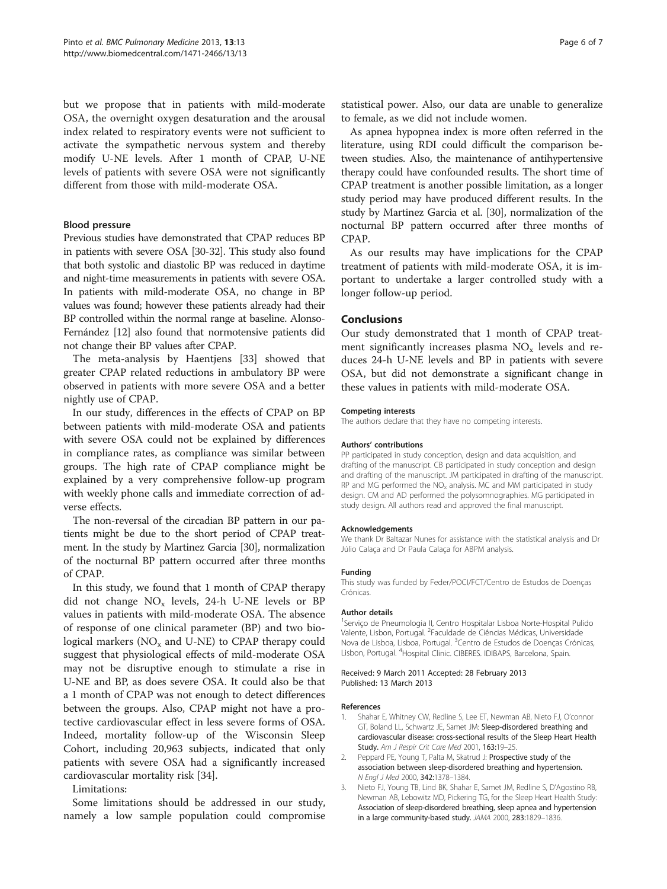<span id="page-5-0"></span>but we propose that in patients with mild-moderate OSA, the overnight oxygen desaturation and the arousal index related to respiratory events were not sufficient to activate the sympathetic nervous system and thereby modify U-NE levels. After 1 month of CPAP, U-NE levels of patients with severe OSA were not significantly different from those with mild-moderate OSA.

# Blood pressure

Previous studies have demonstrated that CPAP reduces BP in patients with severe OSA [\[30-32](#page-6-0)]. This study also found that both systolic and diastolic BP was reduced in daytime and night-time measurements in patients with severe OSA. In patients with mild-moderate OSA, no change in BP values was found; however these patients already had their BP controlled within the normal range at baseline. Alonso-Fernández [\[12\]](#page-6-0) also found that normotensive patients did not change their BP values after CPAP.

The meta-analysis by Haentjens [\[33\]](#page-6-0) showed that greater CPAP related reductions in ambulatory BP were observed in patients with more severe OSA and a better nightly use of CPAP.

In our study, differences in the effects of CPAP on BP between patients with mild-moderate OSA and patients with severe OSA could not be explained by differences in compliance rates, as compliance was similar between groups. The high rate of CPAP compliance might be explained by a very comprehensive follow-up program with weekly phone calls and immediate correction of adverse effects.

The non-reversal of the circadian BP pattern in our patients might be due to the short period of CPAP treatment. In the study by Martinez Garcia [[30](#page-6-0)], normalization of the nocturnal BP pattern occurred after three months of CPAP.

In this study, we found that 1 month of CPAP therapy did not change  $NO_x$  levels, 24-h U-NE levels or BP values in patients with mild-moderate OSA. The absence of response of one clinical parameter (BP) and two biological markers  $(NO<sub>x</sub>$  and U-NE) to CPAP therapy could suggest that physiological effects of mild-moderate OSA may not be disruptive enough to stimulate a rise in U-NE and BP, as does severe OSA. It could also be that a 1 month of CPAP was not enough to detect differences between the groups. Also, CPAP might not have a protective cardiovascular effect in less severe forms of OSA. Indeed, mortality follow-up of the Wisconsin Sleep Cohort, including 20,963 subjects, indicated that only patients with severe OSA had a significantly increased cardiovascular mortality risk [\[34](#page-6-0)].

Limitations:

Some limitations should be addressed in our study, namely a low sample population could compromise statistical power. Also, our data are unable to generalize to female, as we did not include women.

As apnea hypopnea index is more often referred in the literature, using RDI could difficult the comparison between studies. Also, the maintenance of antihypertensive therapy could have confounded results. The short time of CPAP treatment is another possible limitation, as a longer study period may have produced different results. In the study by Martinez Garcia et al. [\[30](#page-6-0)], normalization of the nocturnal BP pattern occurred after three months of CPAP.

As our results may have implications for the CPAP treatment of patients with mild-moderate OSA, it is important to undertake a larger controlled study with a longer follow-up period.

### Conclusions

Our study demonstrated that 1 month of CPAP treatment significantly increases plasma  $NO<sub>x</sub>$  levels and reduces 24-h U-NE levels and BP in patients with severe OSA, but did not demonstrate a significant change in these values in patients with mild-moderate OSA.

#### Competing interests

The authors declare that they have no competing interests.

#### Authors' contributions

PP participated in study conception, design and data acquisition, and drafting of the manuscript. CB participated in study conception and design and drafting of the manuscript. JM participated in drafting of the manuscript. RP and MG performed the  $NO<sub>x</sub>$  analysis. MC and MM participated in study design. CM and AD performed the polysomnographies. MG participated in study design. All authors read and approved the final manuscript.

#### Acknowledgements

We thank Dr Baltazar Nunes for assistance with the statistical analysis and Dr Júlio Calaça and Dr Paula Calaça for ABPM analysis.

#### Funding

This study was funded by Feder/POCI/FCT/Centro de Estudos de Doenças Crónicas.

#### Author details

1 Serviço de Pneumologia II, Centro Hospitalar Lisboa Norte-Hospital Pulido Valente, Lisbon, Portugal. <sup>2</sup> Faculdade de Ciências Médicas, Universidade Nova de Lisboa, Lisboa, Portugal. <sup>3</sup>Centro de Estudos de Doenças Crónicas, Lisbon, Portugal. <sup>4</sup>Hospital Clinic. CIBERES. IDIBAPS, Barcelona, Spain.

#### Received: 9 March 2011 Accepted: 28 February 2013 Published: 13 March 2013

#### References

- 1. Shahar E, Whitney CW, Redline S, Lee ET, Newman AB, Nieto FJ, O'connor GT, Boland LL, Schwartz JE, Samet JM: Sleep-disordered breathing and cardiovascular disease: cross-sectional results of the Sleep Heart Health Study. Am J Respir Crit Care Med 2001, 163:19-25.
- Peppard PE, Young T, Palta M, Skatrud J: Prospective study of the association between sleep-disordered breathing and hypertension. N Engl J Med 2000, 342:1378–1384.
- 3. Nieto FJ, Young TB, Lind BK, Shahar E, Samet JM, Redline S, D'Agostino RB, Newman AB, Lebowitz MD, Pickering TG, for the Sleep Heart Health Study: Association of sleep-disordered breathing, sleep apnea and hypertension in a large community-based study. JAMA 2000, 283:1829–1836.